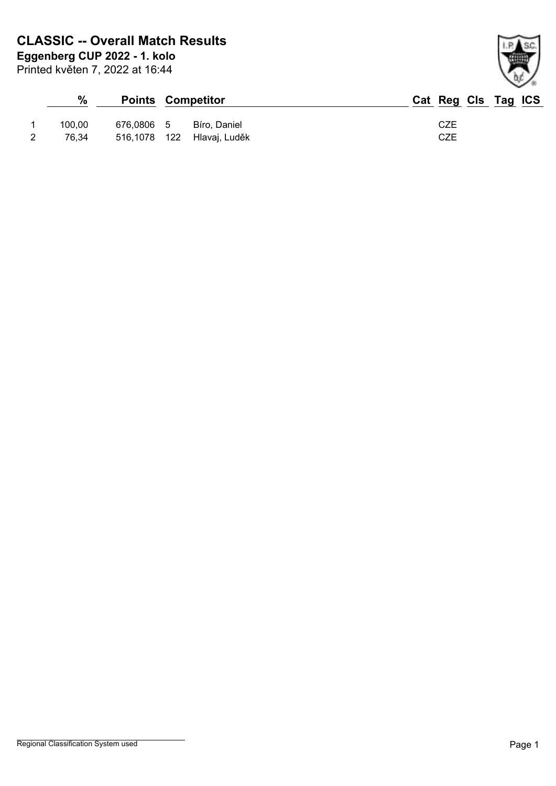Printed květen 7, 2022 at 16:44 **Eggenberg CUP 2022 - 1. kolo**

| $\frac{0}{0}$ |            | <b>Points Competitor</b>   | Cat Reg Cls Tag ICS |
|---------------|------------|----------------------------|---------------------|
| 100.00        | 676.0806 5 | Bíro. Daniel               | CZE                 |
| 76.34         |            | 516,1078 122 Hlavaj, Luděk | <b>CZE</b>          |

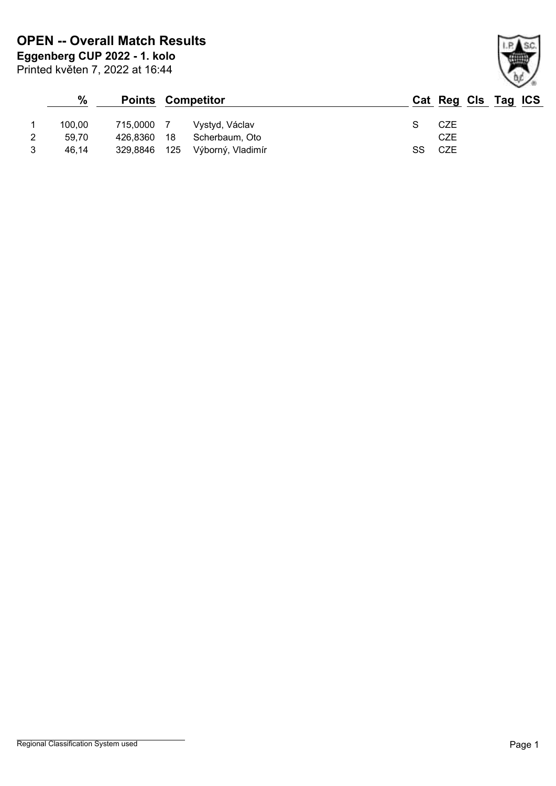Printed květen 7, 2022 at 16:44

|   | $\frac{9}{6}$ |              | <b>Points Competitor</b> | Cat Reg Cls Tag ICS |
|---|---------------|--------------|--------------------------|---------------------|
|   | 100.00        | 715,0000 7   | Vystyd, Václav           | CZE                 |
|   | 59.70         | 426,8360 18  | Scherbaum, Oto           | CZE                 |
| 3 | 46,14         | 329,8846 125 | Výborný, Vladimír        | CZE<br>SS           |

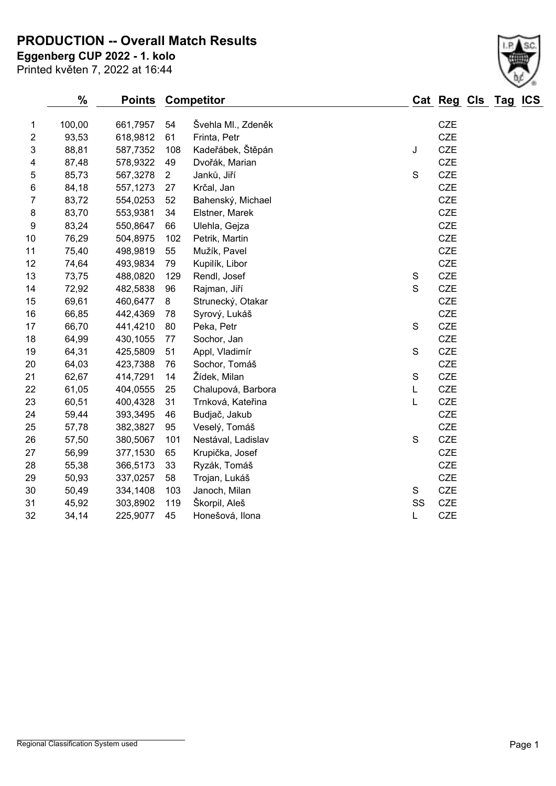**PRODUCTION -- Overall Match Results**

**Eggenberg CUP 2022 - 1. kolo**

|                | $\%$   | <b>Points</b> |                | <b>Competitor</b>  |               | Cat Reg Cls Tag |  | <b>ICS</b> |
|----------------|--------|---------------|----------------|--------------------|---------------|-----------------|--|------------|
| 1              | 100,00 | 661,7957      | 54             | Švehla MI., Zdeněk |               | <b>CZE</b>      |  |            |
| $\overline{c}$ | 93,53  | 618,9812      | 61             | Frinta, Petr       |               | <b>CZE</b>      |  |            |
| 3              | 88,81  | 587,7352      | 108            | Kadeřábek, Štěpán  | J             | <b>CZE</b>      |  |            |
| 4              | 87,48  | 578,9322      | 49             | Dvořák, Marian     |               | <b>CZE</b>      |  |            |
| 5              | 85,73  | 567,3278      | $\overline{2}$ | Janků, Jiří        | $\mathsf S$   | <b>CZE</b>      |  |            |
| 6              | 84,18  | 557,1273      | 27             | Krčal, Jan         |               | <b>CZE</b>      |  |            |
| $\overline{7}$ | 83,72  | 554,0253      | 52             | Bahenský, Michael  |               | <b>CZE</b>      |  |            |
| 8              | 83,70  | 553,9381      | 34             | Elstner, Marek     |               | CZE             |  |            |
| 9              | 83,24  | 550,8647      | 66             | Ulehla, Gejza      |               | <b>CZE</b>      |  |            |
| 10             | 76,29  | 504,8975      | 102            | Petrik, Martin     |               | <b>CZE</b>      |  |            |
| 11             | 75,40  | 498,9819      | 55             | Mužík, Pavel       |               | <b>CZE</b>      |  |            |
| 12             | 74,64  | 493,9834      | 79             | Kupilík, Libor     |               | <b>CZE</b>      |  |            |
| 13             | 73,75  | 488,0820      | 129            | Rendl, Josef       | $\mathbf S$   | <b>CZE</b>      |  |            |
| 14             | 72,92  | 482,5838      | 96             | Rajman, Jiří       | $\mathsf{S}$  | <b>CZE</b>      |  |            |
| 15             | 69,61  | 460,6477      | 8              | Strunecký, Otakar  |               | <b>CZE</b>      |  |            |
| 16             | 66,85  | 442,4369      | 78             | Syrový, Lukáš      |               | <b>CZE</b>      |  |            |
| 17             | 66,70  | 441,4210      | 80             | Peka, Petr         | $\mathsf S$   | <b>CZE</b>      |  |            |
| 18             | 64,99  | 430,1055      | 77             | Sochor, Jan        |               | <b>CZE</b>      |  |            |
| 19             | 64,31  | 425,5809      | 51             | Appl, Vladimír     | ${\mathsf S}$ | <b>CZE</b>      |  |            |
| 20             | 64,03  | 423,7388      | 76             | Sochor, Tomáš      |               | <b>CZE</b>      |  |            |
| 21             | 62,67  | 414,7291      | 14             | Žídek, Milan       | $\mathsf S$   | <b>CZE</b>      |  |            |
| 22             | 61,05  | 404,0555      | 25             | Chalupová, Barbora | L             | <b>CZE</b>      |  |            |
| 23             | 60,51  | 400,4328      | 31             | Trnková, Kateřina  | L             | <b>CZE</b>      |  |            |
| 24             | 59,44  | 393,3495      | 46             | Budjač, Jakub      |               | <b>CZE</b>      |  |            |
| 25             | 57,78  | 382,3827      | 95             | Veselý, Tomáš      |               | <b>CZE</b>      |  |            |
| 26             | 57,50  | 380,5067      | 101            | Nestával, Ladislav | $\mathbf S$   | <b>CZE</b>      |  |            |
| 27             | 56,99  | 377,1530      | 65             | Krupička, Josef    |               | <b>CZE</b>      |  |            |
| 28             | 55,38  | 366,5173      | 33             | Ryzák, Tomáš       |               | <b>CZE</b>      |  |            |
| 29             | 50,93  | 337,0257      | 58             | Trojan, Lukáš      |               | <b>CZE</b>      |  |            |
| 30             | 50,49  | 334,1408      | 103            | Janoch, Milan      | S             | <b>CZE</b>      |  |            |
| 31             | 45,92  | 303,8902      | 119            | Škorpil, Aleš      | SS            | <b>CZE</b>      |  |            |
| 32             | 34,14  | 225,9077      | 45             | Honešová, Ilona    | L             | <b>CZE</b>      |  |            |
|                |        |               |                |                    |               |                 |  |            |

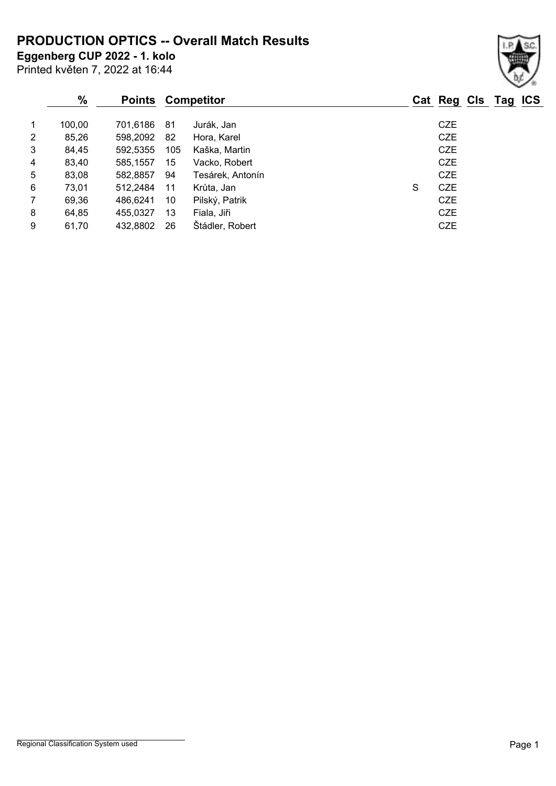**PRODUCTION OPTICS -- Overall Match Results**

**Eggenberg CUP 2022 - 1. kolo**

Printed květen 7, 2022 at 16:44

## **% Points Competitor Cat Reg Cls Tag ICS** 1 100,00 701,6186 81 Jurák, Jan CZE 2 85,26 598,2092 82 Hora, Karel CZE 3 84,45 592,5355 105 Kaška, Martin CZE 4 83,40 585,1557 15 Vacko, Robert CZE 5 83,08 582,8857 94 Tesárek, Antonín CZE 6 73,01 512,2484 11 Krůta, Jan S CZE 7 69,36 486,6241 10 Pilský, Patrik CZE 8 64,85 455,0327 13 Fiala, Jiři CZE 9 61,70 432,8802 26 Štádler, Robert CZE

## Regional Classification System used **Page 1**

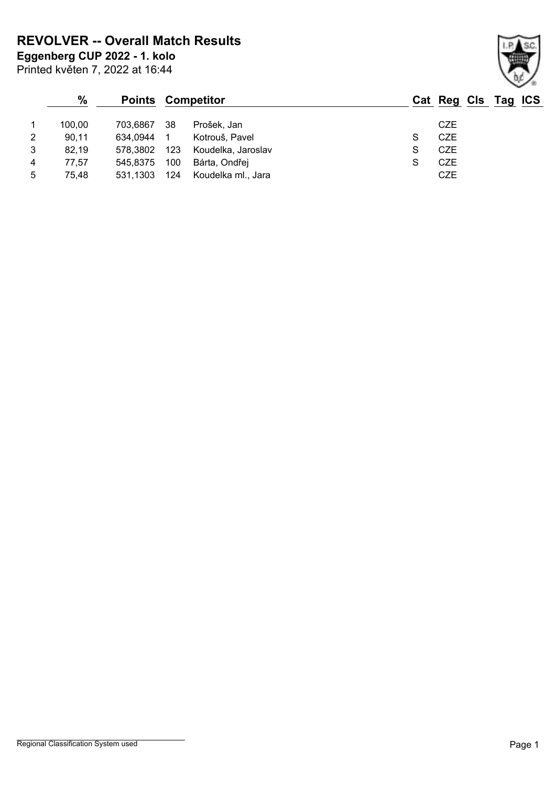**REVOLVER -- Overall Match Results**

Printed květen 7, 2022 at 16:44 **Eggenberg CUP 2022 - 1. kolo**

|   | $\%$   | <b>Points</b> |     | Competitor         |   | Cat Reg Cls Tag ICS |  |
|---|--------|---------------|-----|--------------------|---|---------------------|--|
|   | 100.00 | 703.6867      | 38  | Prošek, Jan        |   | <b>CZE</b>          |  |
| 2 | 90,11  | 634,0944      |     | Kotrouš, Pavel     | S | <b>CZE</b>          |  |
| 3 | 82,19  | 578.3802      | 123 | Koudelka, Jaroslav | S | <b>CZE</b>          |  |
| 4 | 77,57  | 545,8375      | 100 | Bárta, Ondřej      | S | <b>CZE</b>          |  |
| 5 | 75,48  | 531,1303      | 124 | Koudelka ml., Jara |   | <b>CZE</b>          |  |

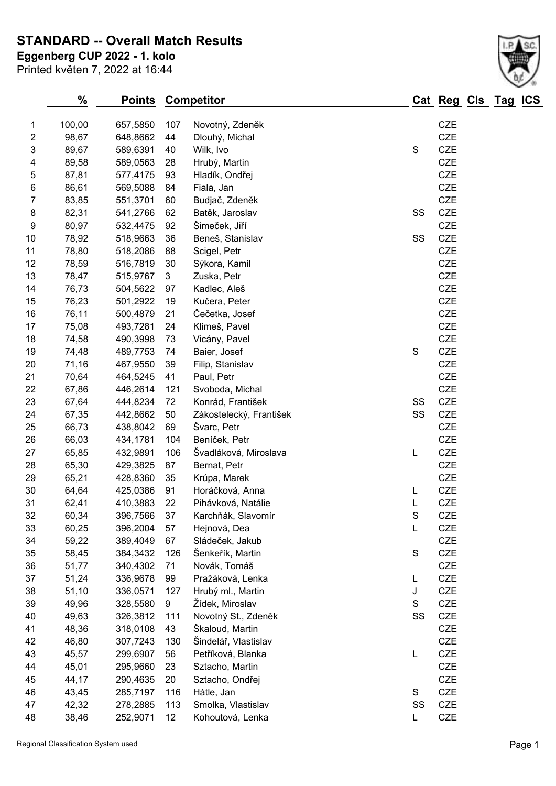**STANDARD -- Overall Match Results**

**Eggenberg CUP 2022 - 1. kolo**

Printed květen 7, 2022 at 16:44

| 1                        | 100,00 | 657,5850 | 107 | Novotný, Zdeněk         |               | <b>CZE</b> |
|--------------------------|--------|----------|-----|-------------------------|---------------|------------|
| 2                        | 98,67  | 648,8662 | 44  | Dlouhý, Michal          |               | <b>CZE</b> |
| 3                        | 89,67  | 589,6391 | 40  | Wilk, Ivo               | ${\mathsf S}$ | <b>CZE</b> |
| $\overline{\mathcal{A}}$ | 89,58  | 589,0563 | 28  | Hrubý, Martin           |               | <b>CZE</b> |
| 5                        | 87,81  | 577,4175 | 93  | Hladík, Ondřej          |               | <b>CZE</b> |
| 6                        | 86,61  | 569,5088 | 84  | Fiala, Jan              |               | <b>CZE</b> |
| 7                        | 83,85  | 551,3701 | 60  | Budjač, Zdeněk          |               | <b>CZE</b> |
| 8                        | 82,31  | 541,2766 | 62  | Batěk, Jaroslav         | SS            | CZE        |
| 9                        | 80,97  | 532,4475 | 92  | Šimeček, Jiří           |               | <b>CZE</b> |
| 10                       | 78,92  | 518,9663 | 36  | Beneš, Stanislav        | SS            | <b>CZE</b> |
| 11                       | 78,80  | 518,2086 | 88  | Scigel, Petr            |               | <b>CZE</b> |
| 12                       | 78,59  | 516,7819 | 30  | Sýkora, Kamil           |               | <b>CZE</b> |
| 13                       | 78,47  | 515,9767 | 3   | Zuska, Petr             |               | <b>CZE</b> |
| 14                       | 76,73  | 504,5622 | 97  | Kadlec, Aleš            |               | <b>CZE</b> |
| 15                       | 76,23  | 501,2922 | 19  | Kučera, Peter           |               | <b>CZE</b> |
| 16                       | 76,11  | 500,4879 | 21  | Čečetka, Josef          |               | <b>CZE</b> |
| 17                       | 75,08  | 493,7281 | 24  | Klimeš, Pavel           |               | <b>CZE</b> |
| 18                       | 74,58  | 490,3998 | 73  | Vicány, Pavel           |               | <b>CZE</b> |
| 19                       | 74,48  | 489,7753 | 74  | Baier, Josef            | ${\mathsf S}$ | CZE        |
| 20                       | 71,16  | 467,9550 | 39  | Filip, Stanislav        |               | <b>CZE</b> |
| 21                       | 70,64  | 464,5245 | 41  | Paul, Petr              |               | <b>CZE</b> |
| 22                       | 67,86  | 446,2614 | 121 | Svoboda, Michal         |               | <b>CZE</b> |
| 23                       | 67,64  | 444,8234 | 72  | Konrád, František       | SS            | <b>CZE</b> |
| 24                       | 67,35  | 442,8662 | 50  | Zákostelecký, František | SS            | <b>CZE</b> |
| 25                       | 66,73  | 438,8042 | 69  | Švarc, Petr             |               | <b>CZE</b> |
| 26                       | 66,03  | 434,1781 | 104 | Beníček, Petr           |               | <b>CZE</b> |
| 27                       | 65,85  | 432,9891 | 106 | Švadláková, Miroslava   | L             | CZE        |
| 28                       | 65,30  | 429,3825 | 87  | Bernat, Petr            |               | <b>CZE</b> |
| 29                       | 65,21  | 428,8360 | 35  | Krúpa, Marek            |               | <b>CZE</b> |
| $30\,$                   | 64,64  | 425,0386 | 91  | Horáčková, Anna         | L             | <b>CZE</b> |
| 31                       | 62,41  | 410,3883 | 22  | Pihávková, Natálie      | L             | CZE        |
| 32                       | 60,34  | 396,7566 | 37  | Karchňák, Slavomír      | $\mathbf S$   | CZE        |
| 33                       | 60,25  | 396,2004 | 57  | Hejnová, Dea            |               | <b>CZE</b> |
| 34                       | 59,22  | 389,4049 | 67  | Sládeček, Jakub         |               | <b>CZE</b> |
| 35                       | 58,45  | 384,3432 | 126 | Šenkeřík, Martin        | ${\mathsf S}$ | CZE        |
| 36                       | 51,77  | 340,4302 | 71  | Novák, Tomáš            |               | <b>CZE</b> |
| 37                       | 51,24  | 336,9678 | 99  | Pražáková, Lenka        | L             | <b>CZE</b> |
| 38                       | 51,10  | 336,0571 | 127 | Hrubý ml., Martin       | J             | <b>CZE</b> |
| 39                       | 49,96  | 328,5580 | 9   | Žídek, Miroslav         | $\mathbf S$   | CZE        |
| 40                       | 49,63  | 326,3812 | 111 | Novotný St., Zdeněk     | SS            | <b>CZE</b> |
| 41                       | 48,36  | 318,0108 | 43  | Škaloud, Martin         |               | <b>CZE</b> |
| 42                       | 46,80  | 307,7243 | 130 | Šindelář, Vlastislav    |               | <b>CZE</b> |
| 43                       | 45,57  | 299,6907 | 56  | Petříková, Blanka       | L             | <b>CZE</b> |
| 44                       | 45,01  | 295,9660 | 23  | Sztacho, Martin         |               | <b>CZE</b> |
| 45                       | 44,17  | 290,4635 | 20  | Sztacho, Ondřej         |               | <b>CZE</b> |
| 46                       | 43,45  | 285,7197 | 116 | Hátle, Jan              | $\mathbf S$   | <b>CZE</b> |
| 47                       | 42,32  | 278,2885 | 113 | Smolka, Vlastislav      | SS            | <b>CZE</b> |
| 48                       | 38,46  | 252,9071 | 12  | Kohoutová, Lenka        | L             | CZE        |
|                          |        |          |     |                         |               |            |